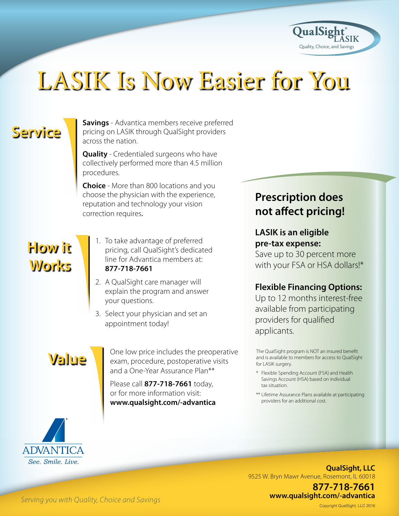

# LASIK Is Now Easier for You

## **Service**

**Savings** - Advantica members receive preferred pricing on LASIK through QualSight providers across the nation.

**Quality** - Credentialed surgeons who have collectively performed more than 4.5 million procedures.

**Choice** - More than 800 locations and yo choose the physician with the experience, reputation and technology your vision correction requires.

### **How it Works**

- 1. To take advantage of preferred pricing, call QualSight's dedicated line for Advantica members at:  **77-71 -7661**
- 2. A QualSight care manager will explain the program and answer your questions.
- 3. Select your physician and set an appointment today!

### **Value**

One low price includes the preoperative exam, procedure, postoperative visits and a One-Year Assurance Plan\*\*

Please call **877-718-7661** today, or for more information visit: **www.qualsight.com/-advantica** 

### **Prescription does not afect pricing!**

#### **LASIK is an eligible pre-tax expense:**

Save up to 30 percent more with your FSA or HSA dollars!\*

#### **Flexible Financing Options:**

Up to 12 months interest-free available from participating providers for qualified applicants.

The QualSight program is NOT an insured benefit and is available to members for access to QualSight for LASIK surgery.

- \* Flexible Spending Account (FSA) and Health Savings Account (HSA) based on individual tax situation.
- \*\* Lifetime Assurance Plans available at participating providers for an additional cost.



9525 W. Bryn Mawr Avenue, Rosemont, IL 60018 **QualSight, LLC** 

> **77-71 -7661 www.qualsight.com/-advantica**

*Serving you with Quality, Choice and Savings* 

Copyright QualSight, LLC 2016